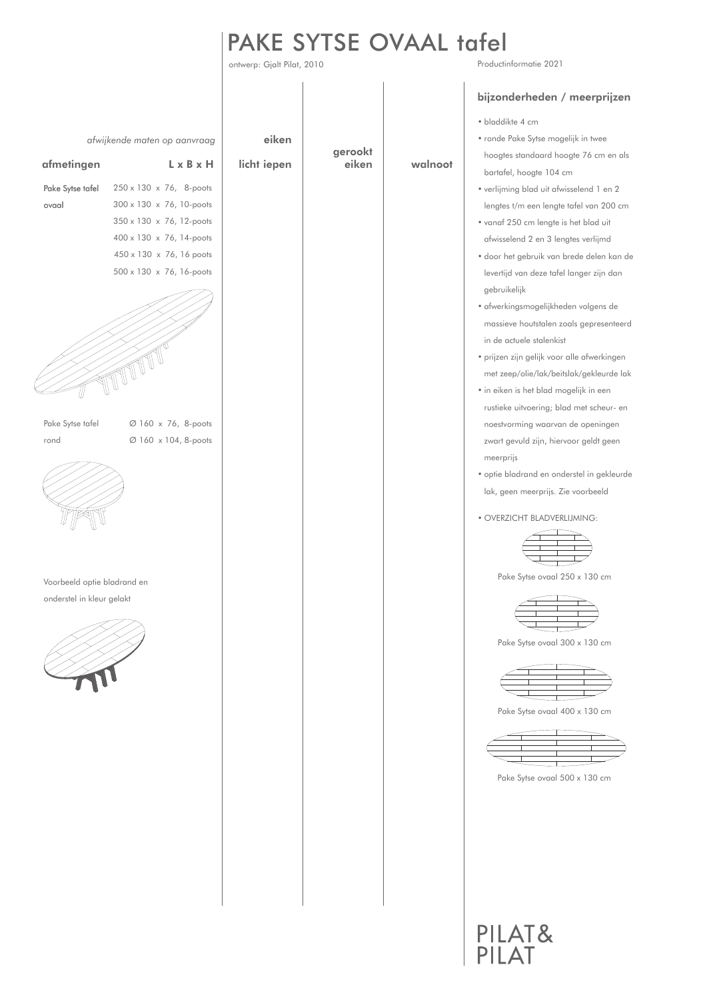## Productinformatie 2021 PAKE SYTSE OVAAL tafel

ontwerp: Gjalt Pilat, 2010

|                             |                              |             |                  |         | bijzonderheden / meerprijzen                |
|-----------------------------|------------------------------|-------------|------------------|---------|---------------------------------------------|
|                             |                              |             |                  |         | · bladdikte 4 cm                            |
|                             | afwijkende maten op aanvraag | eiken       |                  |         | • ronde Pake Sytse mogelijk in twee         |
| afmetingen                  | $L \times B \times H$        | licht iepen | gerookt<br>eiken | walnoot | hoogtes standaard hoogte 76 cm en als       |
|                             |                              |             |                  |         | bartafel, hoogte 104 cm                     |
| Pake Sytse tafel            | 250 x 130 x 76, 8-poots      |             |                  |         | • verlijming blad uit afwisselend 1 en 2    |
| ovaal                       | 300 x 130 x 76, 10-poots     |             |                  |         | lengtes t/m een lengte tafel van 200 cm     |
|                             | 350 x 130 x 76, 12-poots     |             |                  |         | • vanaf 250 cm lengte is het blad uit       |
|                             | 400 x 130 x 76, 14-poots     |             |                  |         | afwisselend 2 en 3 lengtes verlijmd         |
|                             | 450 x 130 x 76, 16 poots     |             |                  |         | · door het gebruik van brede delen kan de   |
|                             | 500 x 130 x 76, 16-poots     |             |                  |         | levertijd van deze tafel langer zijn dan    |
|                             |                              |             |                  |         | gebruikelijk                                |
|                             |                              |             |                  |         | · afwerkingsmogelijkheden volgens de        |
|                             |                              |             |                  |         | massieve houtstalen zoals gepresenteerd     |
|                             |                              |             |                  |         | in de actuele stalenkist                    |
|                             |                              |             |                  |         | · prijzen zijn gelijk voor alle afwerkingen |
|                             |                              |             |                  |         | met zeep/olie/lak/beitslak/gekleurde lak    |
|                             |                              |             |                  |         | • in eiken is het blad mogelijk in een      |
|                             |                              |             |                  |         | rustieke uitvoering; blad met scheur- en    |
| Pake Sytse tafel            | Ø 160 x 76, 8-poots          |             |                  |         | noestvorming waarvan de openingen           |
| rond                        | Ø 160 x 104, 8-poots         |             |                  |         | zwart gevuld zijn, hiervoor geldt geen      |
|                             |                              |             |                  |         | meerprijs                                   |
|                             |                              |             |                  |         | · optie bladrand en onderstel in gekleurde  |
|                             |                              |             |                  |         | lak, geen meerprijs. Zie voorbeeld          |
|                             |                              |             |                  |         | · OVERZICHT BLADVERLIJMING:                 |
|                             |                              |             |                  |         |                                             |
|                             |                              |             |                  |         |                                             |
|                             |                              |             |                  |         |                                             |
| Voorbeeld optie bladrand en |                              |             |                  |         | Pake Sytse ovaal 250 x 130 cm               |
| onderstel in kleur gelakt   |                              |             |                  |         |                                             |
|                             |                              |             |                  |         |                                             |
|                             |                              |             |                  |         |                                             |
|                             |                              |             |                  |         | Pake Sytse ovaal 300 x 130 cm               |
|                             |                              |             |                  |         |                                             |
|                             |                              |             |                  |         |                                             |
|                             |                              |             |                  |         |                                             |
|                             |                              |             |                  |         | Pake Sytse ovaal 400 x 130 cm               |
|                             |                              |             |                  |         |                                             |
|                             |                              |             |                  |         |                                             |
|                             |                              |             |                  |         | Pake Sytse ovaal 500 x 130 cm               |
|                             |                              |             |                  |         |                                             |
|                             |                              |             |                  |         |                                             |
|                             |                              |             |                  |         |                                             |
|                             |                              |             |                  |         |                                             |
|                             |                              |             |                  |         |                                             |
|                             |                              |             |                  |         |                                             |
|                             |                              |             |                  |         |                                             |
|                             |                              |             |                  |         |                                             |
|                             |                              |             |                  |         | PILAT&                                      |
|                             |                              |             |                  |         |                                             |
|                             |                              |             |                  |         |                                             |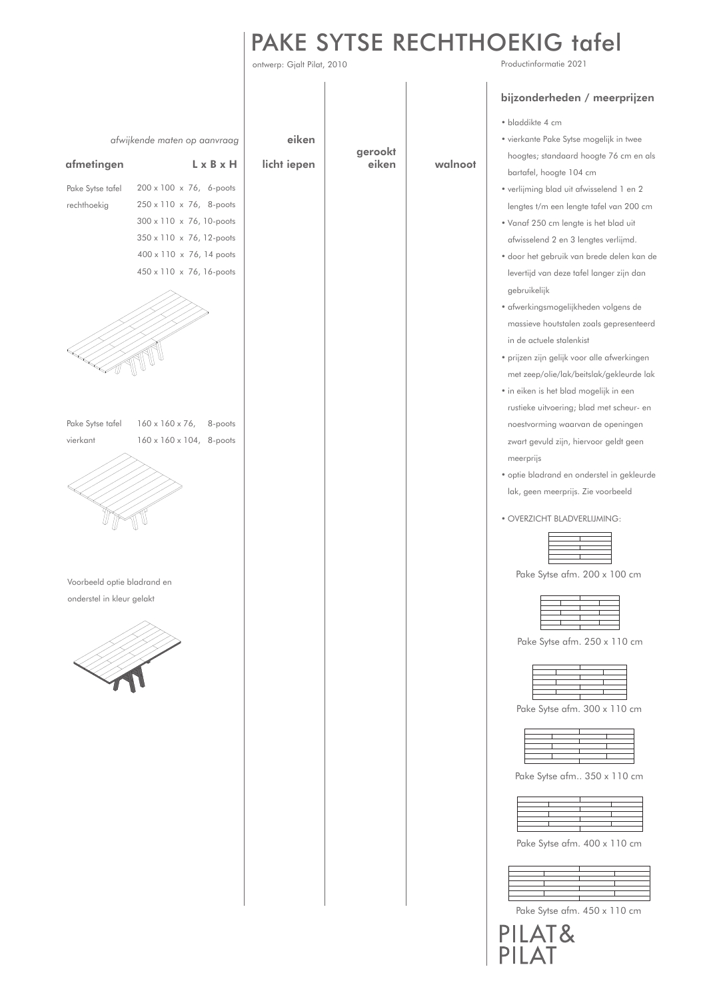# PAKE SYTSE RECHTHOEKIG tafel

walnoot

gerookt eiken

ontwerp: Gjalt Pilat, 2010

Productinformatie 2021

### • bladdikte 4 cm bijzonderheden / meerprijzen

| • vierkante Pake Sytse mogelijk in twee |
|-----------------------------------------|
| hoogtes; standaard hoogte 76 cm en als  |
| bartafel, hoogte 104 cm                 |

- verlijming blad uit afwisselend 1 en 2 lengtes t/m een lengte tafel van 200 cm
- Vanaf 250 cm lengte is het blad uit afwisselend 2 en 3 lengtes verlijmd.
- door het gebruik van brede delen kan de levertijd van deze tafel langer zijn dan gebruikelijk
- afwerkingsmogelijkheden volgens de massieve houtstalen zoals gepresenteerd in de actuele stalenkist
- prijzen zijn gelijk voor alle afwerkingen met zeep/olie/lak/beitslak/gekleurde lak
- in eiken is het blad mogelijk in een rustieke uitvoering; blad met scheur- en noestvorming waarvan de openingen zwart gevuld zijn, hiervoor geldt geen meerprijs
- optie bladrand en onderstel in gekleurde lak, geen meerprijs. Zie voorbeeld
- OVERZICHT BLADVERLIJMING:

E

| $\rightarrow$ | $\overline{ }$           |
|---------------|--------------------------|
|               |                          |
|               | $\overline{\phantom{a}}$ |
|               |                          |
|               |                          |
|               |                          |
|               |                          |

Pake Sytse afm. 200 x 100 cm

Pake Sytse afm. 250 x 110 cm

| the control of the control of the con- |                          | <b>Contract Contract</b> |
|----------------------------------------|--------------------------|--------------------------|
|                                        |                          |                          |
|                                        |                          |                          |
|                                        | $\overline{\phantom{0}}$ |                          |
|                                        |                          |                          |
|                                        |                          |                          |

Pake Sytse afm. 300 x 110 cm

|                                     | the contract of the contract of the contract of |  |
|-------------------------------------|-------------------------------------------------|--|
| and the state of the state<br>_____ |                                                 |  |
|                                     | _____                                           |  |
|                                     |                                                 |  |
|                                     |                                                 |  |
|                                     |                                                 |  |

Pake Sytse afm.. 350 x 110 cm

| $\overline{\phantom{a}}$ |                                 |  |
|--------------------------|---------------------------------|--|
|                          |                                 |  |
|                          | the contract of the contract of |  |
|                          |                                 |  |
|                          |                                 |  |
|                          |                                 |  |
|                          |                                 |  |

Pake Sytse afm. 400 x 110 cm

|  | __ |  |
|--|----|--|
|  |    |  |
|  |    |  |
|  |    |  |
|  |    |  |
|  |    |  |
|  |    |  |

Pake Sytse afm. 450 x 110 cm

PILAT&

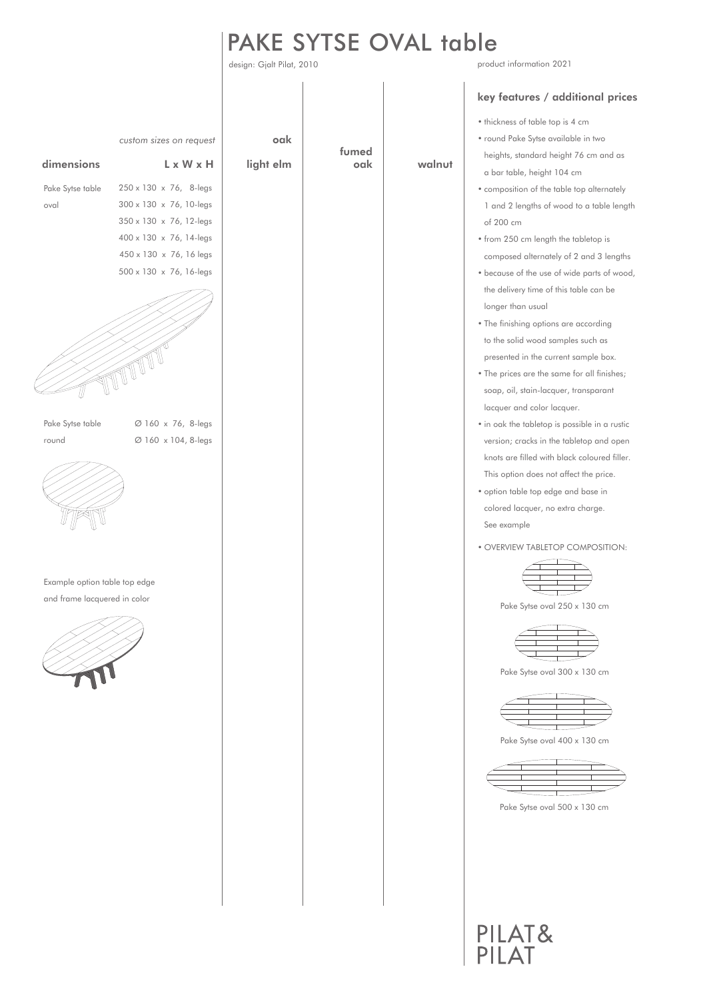# PAKE SYTSE OVAL table

design: Gjalt Pilat, 2010 product information 2021 *custom sizes on request* **oak** fumed dimensions L x W x H light elm walnutoak a bar table, height 104 cm 250 x 130 x 76, 8-legs Pake Sytse table 300 x 130 x 76, 10-legs oval 350 x 130 x 76, 12-legs of 200 cm 400 x 130 x 76, 14-legs 450 x 130 x 76, 16 legs 500 x 130 x 76, 16-legs longer than usual TUTTT T presented in the current sample box. lacquer and color lacquer. Pake Sytse table Ø 160 x 76, 8-legs Ø 160 x 104, 8-legs round See example Example option table top edge and frame lacquered in color

#### key features / additional prices

- thickness of table top is 4 cm
- round Pake Sytse available in two heights, standard height 76 cm and as
- composition of the table top alternately 1 and 2 lengths of wood to a table length
- from 250 cm length the tabletop is composed alternately of 2 and 3 lengths
- because of the use of wide parts of wood, the delivery time of this table can be
- The finishing options are according to the solid wood samples such as
- The prices are the same for all finishes; soap, oil, stain-lacquer, transparant
- in oak the tabletop is possible in a rustic version; cracks in the tabletop and open knots are filled with black coloured filler. This option does not affect the price.
- option table top edge and base in colored lacquer, no extra charge.
- OVERVIEW TABLETOP COMPOSITION:



Pake Sytse oval 250 x 130 cm



Pake Sytse oval 300 x 130 cm



Pake Sytse oval 400 x 130 cm



Pake Sytse oval 500 x 130 cm